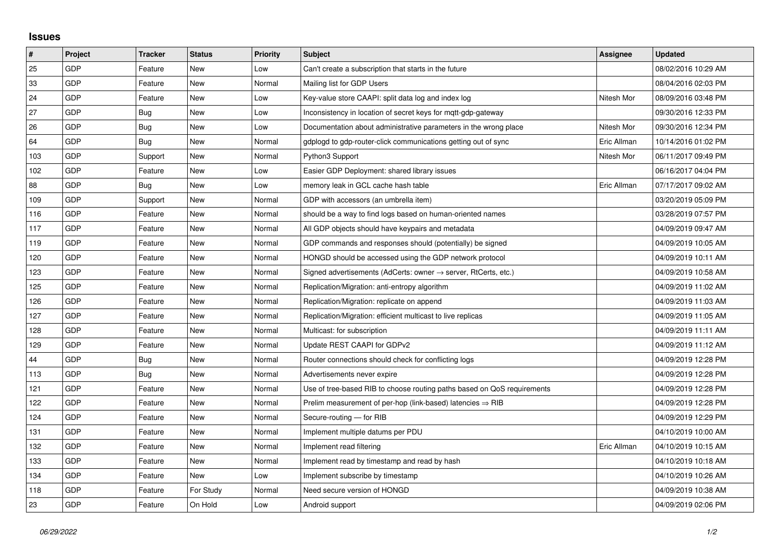## **Issues**

| $\sharp$ | Project    | <b>Tracker</b> | <b>Status</b> | <b>Priority</b> | <b>Subject</b>                                                             | Assignee    | <b>Updated</b>      |
|----------|------------|----------------|---------------|-----------------|----------------------------------------------------------------------------|-------------|---------------------|
| 25       | <b>GDP</b> | Feature        | <b>New</b>    | Low             | Can't create a subscription that starts in the future                      |             | 08/02/2016 10:29 AM |
| 33       | <b>GDP</b> | Feature        | <b>New</b>    | Normal          | Mailing list for GDP Users                                                 |             | 08/04/2016 02:03 PM |
| 24       | GDP        | Feature        | <b>New</b>    | Low             | Key-value store CAAPI: split data log and index log                        | Nitesh Mor  | 08/09/2016 03:48 PM |
| 27       | GDP        | Bug            | <b>New</b>    | Low             | Inconsistency in location of secret keys for mgtt-gdp-gateway              |             | 09/30/2016 12:33 PM |
| 26       | <b>GDP</b> | <b>Bug</b>     | <b>New</b>    | Low             | Documentation about administrative parameters in the wrong place           | Nitesh Mor  | 09/30/2016 12:34 PM |
| 64       | GDP        | Bug            | <b>New</b>    | Normal          | gdplogd to gdp-router-click communications getting out of sync             | Eric Allman | 10/14/2016 01:02 PM |
| 103      | GDP        | Support        | <b>New</b>    | Normal          | Python3 Support                                                            | Nitesh Mor  | 06/11/2017 09:49 PM |
| 102      | <b>GDP</b> | Feature        | <b>New</b>    | Low             | Easier GDP Deployment: shared library issues                               |             | 06/16/2017 04:04 PM |
| 88       | <b>GDP</b> | Bug            | <b>New</b>    | Low             | memory leak in GCL cache hash table                                        | Eric Allman | 07/17/2017 09:02 AM |
| 109      | GDP        | Support        | <b>New</b>    | Normal          | GDP with accessors (an umbrella item)                                      |             | 03/20/2019 05:09 PM |
| 116      | <b>GDP</b> | Feature        | New           | Normal          | should be a way to find logs based on human-oriented names                 |             | 03/28/2019 07:57 PM |
| 117      | <b>GDP</b> | Feature        | <b>New</b>    | Normal          | All GDP objects should have keypairs and metadata                          |             | 04/09/2019 09:47 AM |
| 119      | GDP        | Feature        | New           | Normal          | GDP commands and responses should (potentially) be signed                  |             | 04/09/2019 10:05 AM |
| 120      | GDP        | Feature        | <b>New</b>    | Normal          | HONGD should be accessed using the GDP network protocol                    |             | 04/09/2019 10:11 AM |
| 123      | <b>GDP</b> | Feature        | <b>New</b>    | Normal          | Signed advertisements (AdCerts: owner $\rightarrow$ server, RtCerts, etc.) |             | 04/09/2019 10:58 AM |
| 125      | GDP        | Feature        | <b>New</b>    | Normal          | Replication/Migration: anti-entropy algorithm                              |             | 04/09/2019 11:02 AM |
| 126      | GDP        | Feature        | <b>New</b>    | Normal          | Replication/Migration: replicate on append                                 |             | 04/09/2019 11:03 AM |
| 127      | <b>GDP</b> | Feature        | <b>New</b>    | Normal          | Replication/Migration: efficient multicast to live replicas                |             | 04/09/2019 11:05 AM |
| 128      | GDP        | Feature        | <b>New</b>    | Normal          | Multicast: for subscription                                                |             | 04/09/2019 11:11 AM |
| 129      | GDP        | Feature        | <b>New</b>    | Normal          | Update REST CAAPI for GDPv2                                                |             | 04/09/2019 11:12 AM |
| 44       | GDP        | <b>Bug</b>     | New           | Normal          | Router connections should check for conflicting logs                       |             | 04/09/2019 12:28 PM |
| 113      | <b>GDP</b> | Bug            | <b>New</b>    | Normal          | Advertisements never expire                                                |             | 04/09/2019 12:28 PM |
| 121      | GDP        | Feature        | <b>New</b>    | Normal          | Use of tree-based RIB to choose routing paths based on QoS requirements    |             | 04/09/2019 12:28 PM |
| 122      | <b>GDP</b> | Feature        | <b>New</b>    | Normal          | Prelim measurement of per-hop (link-based) latencies $\Rightarrow$ RIB     |             | 04/09/2019 12:28 PM |
| 124      | <b>GDP</b> | Feature        | <b>New</b>    | Normal          | Secure-routing - for RIB                                                   |             | 04/09/2019 12:29 PM |
| 131      | GDP        | Feature        | <b>New</b>    | Normal          | Implement multiple datums per PDU                                          |             | 04/10/2019 10:00 AM |
| 132      | <b>GDP</b> | Feature        | <b>New</b>    | Normal          | Implement read filtering                                                   | Eric Allman | 04/10/2019 10:15 AM |
| 133      | GDP        | Feature        | <b>New</b>    | Normal          | Implement read by timestamp and read by hash                               |             | 04/10/2019 10:18 AM |
| 134      | GDP        | Feature        | <b>New</b>    | Low             | Implement subscribe by timestamp                                           |             | 04/10/2019 10:26 AM |
| 118      | GDP        | Feature        | For Study     | Normal          | Need secure version of HONGD                                               |             | 04/09/2019 10:38 AM |
| 23       | <b>GDP</b> | Feature        | On Hold       | Low             | Android support                                                            |             | 04/09/2019 02:06 PM |